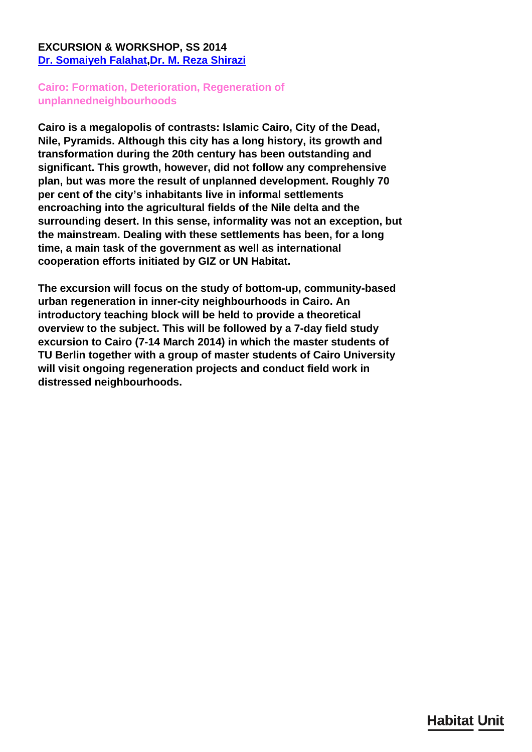# **EXCURSION & WORKSHOP, SS 2014 [Dr. Somaiyeh Falahat,](/en/team/somaiyeh-falahat/)[Dr. M. Reza Shirazi](/en/team/reza-shirazi/)**

# **Cairo: Formation, Deterioration, Regeneration of unplannedneighbourhoods**

**Cairo is a megalopolis of contrasts: Islamic Cairo, City of the Dead, Nile, Pyramids. Although this city has a long history, its growth and transformation during the 20th century has been outstanding and significant. This growth, however, did not follow any comprehensive plan, but was more the result of unplanned development. Roughly 70 per cent of the city's inhabitants live in informal settlements encroaching into the agricultural fields of the Nile delta and the surrounding desert. In this sense, informality was not an exception, but the mainstream. Dealing with these settlements has been, for a long time, a main task of the government as well as international cooperation efforts initiated by GIZ or UN Habitat.**

**The excursion will focus on the study of bottom-up, community-based urban regeneration in inner-city neighbourhoods in Cairo. An introductory teaching block will be held to provide a theoretical overview to the subject. This will be followed by a 7-day field study excursion to Cairo (7-14 March 2014) in which the master students of TU Berlin together with a group of master students of Cairo University will visit ongoing regeneration projects and conduct field work in distressed neighbourhoods.**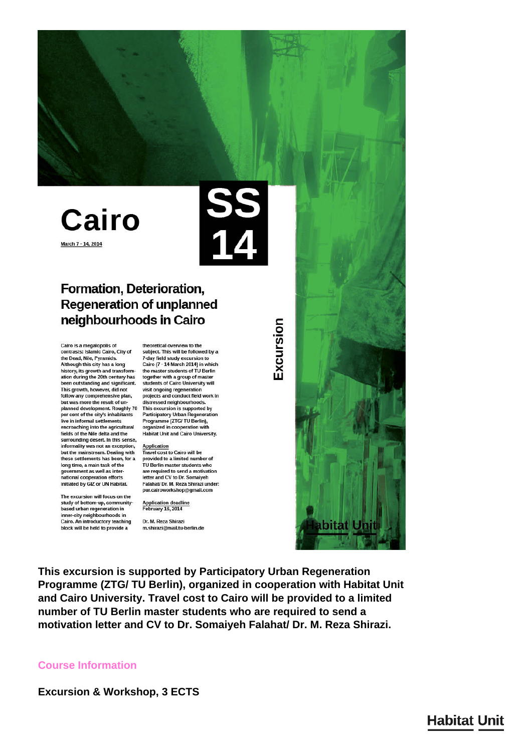# Cairo March 7 - 14, 2014



# Formation, Deterioration, **Regeneration of unplanned** neighbourhoods in Cairo

Cairo is a megalopolis of<br>contrasts: Islamic Cairo, City of the Dead, Nile, Pyramids. Although this city has a long history, its growth and transform-<br>the master students of TU Berlin<br>ation during the 20th century has<br>together with a group of master been outstanding and significant. This growth, however, did not follow any comprehensive plan, but was more the result of unplanned development. Roughly 70 per cent of the city's inhabitants live in informal settlements encroaching into the agricultural fields of the Nile delta and the surrounding desert. In this sense. informality was not an exception, but the mainstream. Dealing with<br>these settlements has been, for a long time, a main task of the government as well as international cooperation efforts initiated by GIZ or UN Habitat.

The excursion will focus on the study of bottom-up, communitybased urban regeneration in inner-city neighbourhoods in Cairo. An introductory teaching block will be held to provide a

theoretical overview to the subject. This will be followed by a 7-day field study excursion to<br>Cairo (7 - 14 March 2014) in which the master students of TU Berlin students of Cairo University will visit ongoing regeneration projects and conduct field work in distressed neighbourhoods This excursion is supported by Participatory Urban Regeneration Programme (ZTG/TU Berlin),<br>organized in cooperation with **Habitat Unit and Cairo University.** 

#### Application

Travel cost to Cairo will be provided to a limited number of<br>TU Berlin master students who are required to send a motivation<br>letter and CV to Dr. Somaiyeh Falahat/ Dr. M. Reza Shirazi under: pur.cairoworkshop@gmail.com

Application deadline<br>February 16, 2014

Dr. M. Reza Shirazi m.shirazi@mail.tu-berlin.de Excursion



This excursion is supported by Participatory Urban Regeneration Programme (ZTG/TU Berlin), organized in cooperation with Habitat Unit and Cairo University. Travel cost to Cairo will be provided to a limited number of TU Berlin master students who are required to send a motivation letter and CV to Dr. Somaiyeh Falahat/ Dr. M. Reza Shirazi.

### **Course Information**

**Excursion & Workshop, 3 ECTS** 

# **Habitat Unit**